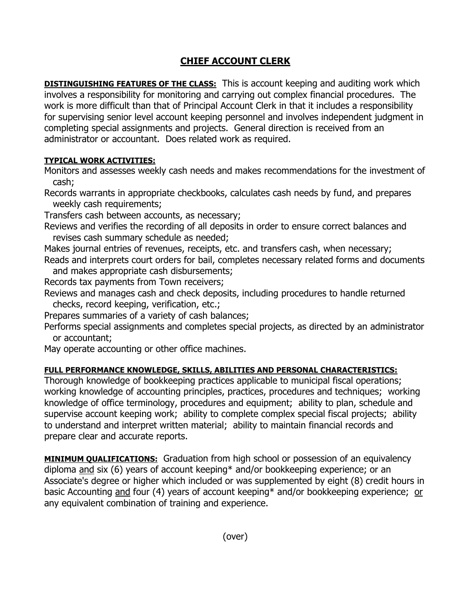## **CHIEF ACCOUNT CLERK**

**DISTINGUISHING FEATURES OF THE CLASS:** This is account keeping and auditing work which involves a responsibility for monitoring and carrying out complex financial procedures. The work is more difficult than that of Principal Account Clerk in that it includes a responsibility for supervising senior level account keeping personnel and involves independent judgment in completing special assignments and projects. General direction is received from an administrator or accountant. Does related work as required.

## **TYPICAL WORK ACTIVITIES:**

Monitors and assesses weekly cash needs and makes recommendations for the investment of cash;

Records warrants in appropriate checkbooks, calculates cash needs by fund, and prepares weekly cash requirements;

Transfers cash between accounts, as necessary;

Reviews and verifies the recording of all deposits in order to ensure correct balances and revises cash summary schedule as needed;

Makes journal entries of revenues, receipts, etc. and transfers cash, when necessary;

Reads and interprets court orders for bail, completes necessary related forms and documents and makes appropriate cash disbursements;

Records tax payments from Town receivers;

Reviews and manages cash and check deposits, including procedures to handle returned checks, record keeping, verification, etc.;

Prepares summaries of a variety of cash balances;

Performs special assignments and completes special projects, as directed by an administrator or accountant;

May operate accounting or other office machines.

## **FULL PERFORMANCE KNOWLEDGE, SKILLS, ABILITIES AND PERSONAL CHARACTERISTICS:**

Thorough knowledge of bookkeeping practices applicable to municipal fiscal operations; working knowledge of accounting principles, practices, procedures and techniques; working knowledge of office terminology, procedures and equipment; ability to plan, schedule and supervise account keeping work; ability to complete complex special fiscal projects; ability to understand and interpret written material; ability to maintain financial records and prepare clear and accurate reports.

**MINIMUM QUALIFICATIONS:** Graduation from high school or possession of an equivalency diploma and six (6) years of account keeping\* and/or bookkeeping experience; or an Associate's degree or higher which included or was supplemented by eight (8) credit hours in basic Accounting and four (4) years of account keeping\* and/or bookkeeping experience; or any equivalent combination of training and experience.

(over)